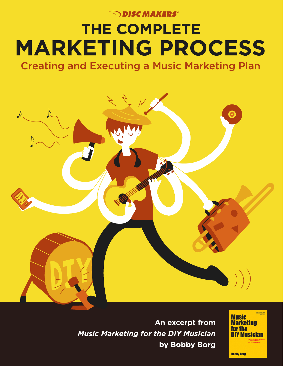**SOBSC MAKERS**®

# **THE COMPLETE MARKETING PROCESS**

**Creating and Executing a Music Marketing Plan** 



An excerpt from **Music Marketing for the DIY Musician** by Bobby Borg

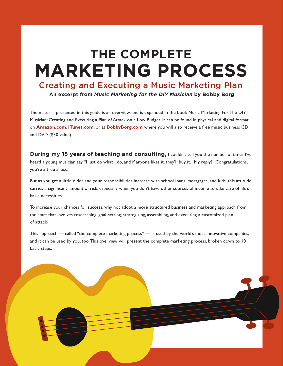## **THE COMPLETE MARKETING PROCESS** Creating and Executing a Music Marketing Plan **An excerpt from** *Music Marketing for the DIY Musician* **by Bobby Borg**

The material presented in this guide is an overview, and is expanded in the book Music Marketing For The DIY Musician: Creating and Executing a Plan of Attack on a Low Budget. It can be found in physical and digital format on **[Amazon.com](http://www.amazon.com/Music-Marketing-DIY-Musician-Executing/dp/1480369527/ref=sr_1_1?s=books&ie=UTF8&qid=1432002948&sr=1-1&keywords=Music+Marketing+For+The+DIY+Musician)**, **[iTunes.com](https://itunes.apple.com/us/book/music-marketing-for-diy-musician/id920817600?mt=11)**, or at **[BobbyBorg.com](http://www.bobbyborg.com)** where you will also receive a free music business CD and DVD (\$30 value).

**During my 15 years of teaching and consulting, I couldn't tell you the number of times I've** heard a young musician say, "I just do what I do, and if anyone likes it, they'll buy it." My reply? "Congratulations, you're a true artist."

But as you get a little older and your responsibilities increase with school loans, mortgages, and kids, this attitude carries a significant amount of risk, especially when you don't have other sources of income to take care of life's basic necessities.

To increase your chances for success, why not adopt a more structured business and marketing approach from the start that involves researching, goal-setting, strategizing, assembling, and executing a customized plan of attack?

This approach — called "the complete marketing process" — is used by the world's most innovative companies, and it can be used by you, too. This overview will present the complete marketing process, broken down to 10 basic steps.

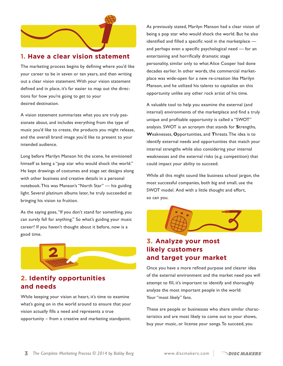

#### **1. Have a clear vision statement**

The marketing process begins by defining where you'd like your career to be in seven or ten years, and then writing out a clear vision statement. With your vision statement defined and in place, it's far easier to map out the directions for how you're going to get to your desired destination.

A vision statement summarizes what you are truly passionate about, and includes everything from the type of music you'd like to create, the products you might release, and the overall brand image you'd like to present to your intended audience.

Long before Marilyn Manson hit the scene, he envisioned himself as being a "pop star who would shock the world." He kept drawings of costumes and stage set designs along with other business and creative details in a personal notebook. This was Manson's "North Star" — his guiding light. Several platinum albums later, he truly succeeded at bringing his vision to fruition.

As the saying goes, "If you don't stand for something, you can surely fall for anything." So what's guiding your music career? If you haven't thought about it before, now is a good time.



#### **2. Identify opportunities and needs**

While keeping your vision at heart, it's time to examine what's going on in the world around to ensure that your vision actually fills a need and represents a true opportunity – from a creative and marketing standpoint. As previously stated, Marilyn Manson had a clear vision of being a pop star who would shock the world. But he also identified and filled a specific void in the marketplace and perhaps even a specific psychological need — for an entertaining and horrifically dramatic stage personality, similar only to what Alice Cooper had done decades earlier. In other words, the commercial marketplace was wide-open for a new re-creation like Marilyn Manson, and he utilized his talents to capitalize on this opportunity unlike any other rock artist of his time.

A valuable tool to help you examine the external (and internal) environments of the marketplace and find a truly unique and profitable opportunity is called a "SWOT" analysis. SWOT is an acronym that stands for **S**trengths, **W**eaknesses, **O**pportunities, and **T**hreats. The idea is to identify external needs and opportunities that match your internal strengths while also considering your internal weaknesses and the external risks (e.g. competition) that could impact your ability to succeed.

While all this might sound like business school jargon, the most successful companies, both big and small, use the SWOT model. And with a little thought and effort, so can you.



#### **3. Analyze your most likely customers and target your market**

Once you have a more refined purpose and clearer idea of the external environment and the market need you will attempt to fill, it's important to identify and thoroughly analyze the most important people in the world: Your "most likely" fans.

These are people or businesses who share similar characteristics and are most likely to come out to your shows, buy your music, or license your songs. To succeed, you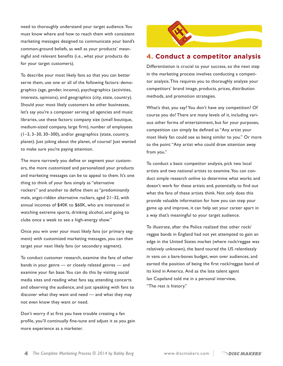need to thoroughly understand your target audience. You must know where and how to reach them with consistent marketing messages designed to communicate your band's common-ground beliefs, as well as your products' meaningful and relevant benefits (i.e., what your products do for your target customers).

To describe your most likely fans so that you can better serve them, use one or all of the following factors: demographics (age, gender, income), psychographics (activities, interests, opinions), and geographics (city, state, country). Should your most likely customers be other businesses, let's say you're a composer serving ad agencies and music libraries, use these factors: company size (small boutique, medium-sized company, large firm), number of employees (1–3, 3–30, 30–300), and/or geographics (state, country, planet). Just joking about the planet, of course! Just wanted to make sure you're paying attention.

The more narrowly you define or segment your customers, the more customized and personalized your products and marketing messages can be to appeal to them. It's one thing to think of your fans simply as "alternative rockers" and another to define them as "predominantly male, angst-ridden alternative rockers, aged 21–32, with annual incomes of \$40K to \$60K, who are interested in watching extreme sports, drinking alcohol, and going to clubs once a week to see a high-energy show."

Once you win over your most likely fans (or primary segment) with customized marketing messages, you can then target your next likely fans (or secondary segment).

To conduct customer research, examine the fans of other bands in your genre — or closely related genres — and examine your fan base. You can do this by visiting social media sites and reading what fans say, attending concerts and observing the audience, and just speaking with fans to discover what they want and need — and what they may not even know they want or need.

Don't worry if at first you have trouble creating a fan profile, you'll continually fine-tune and adjust it as you gain more experience as a marketer.



#### **4. Conduct a competitor analysis**

Differentiation is crucial to your success, so the next step in the marketing process involves conducting a competitor analysis. This requires you to thoroughly analyze your competitors' brand image, products, prices, distribution methods, and promotion strategies.

What's that, you say? You don't have any competition? Of course you do! There are many levels of it, including various other forms of entertainment, but for your purposes, competition can simply be defined as "Any artist your most likely fan could see as being similar to you." Or more to the point: "Any artist who could draw attention away from you."

To conduct a basic competitor analysis, pick two local artists and two national artists to examine. You can conduct simple research online to determine what works and doesn't work for these artists and, potentially, to find out what the fans of these artists think. Not only does this provide valuable information for how you can step your game up and improve, it can help set your career apart in a way that's meaningful to your target audience.

To illustrate, after the Police realized that other rock/ reggae bands in England had not yet attempted to gain an edge in the United States market (where rock/reggae was relatively unknown), the band toured the US relentlessly in vans on a bare-bones budget, won over audiences, and earned the position of being the first rock/reggae band of its kind in America. And as the late talent agent Ian Copeland told me in a personal interview, "The rest is history."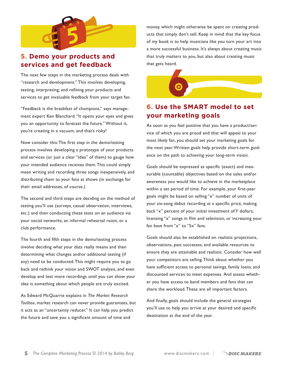

#### **5. Demo your products and services and get feedback**

The next few steps in the marketing process deals with "research and development." This involves developing, testing, interpreting, and refining your products and services to get invaluable feedback from your target fan.

"Feedback is the breakfast of champions," says management expert Ken Blanchard. "It opens your eyes and gives you an opportunity to forecast the future." Without it, you're creating in a vacuum, and that's risky!

Now consider this: The first step in the demo/testing process involves developing a prototype of your products and services (or just a clear "idea" of them) to gauge how your intended audience receives them. This could simply mean writing and recording three songs inexpensively, and distributing them to your fans at shows (in exchange for their email addresses, of course.)

The second and third steps are deciding on the method of testing you'll use (surveys, casual observation, interviews, etc.) and then conducting these tests on an audience via your social networks, an informal rehearsal room, or a club performance.

The fourth and fifth steps in the demo/testing process involve deciding what your data really means and then determining what changes and/or additional testing (if any) need to be conducted. This might require you to go back and rethink your vision and SWOT analysis, and even develop and test more recordings until you can show your idea is something about which people are truly excited.

As Edward McQuarrie explains in *The Market Research Toolbox*, market research can never provide guarantees, but it acts as an "uncertainty reducer." It can help you predict the future and save you a significant amount of time and

money, which might otherwise be spent on creating products that simply don't sell. Keep in mind that the key focus of my book is to help musicians like you turn your art into a more successful business. It's always about creating music that truly matters to you, but also about creating music that gets heard.



As soon as you feel positive that you have a product/service of which you are proud and that will appeal to your most likely fan, you should set your marketing goals for the next year. Written goals help provide short-term guidance on the path to achieving your long-term vision.

Goals should be expressed as specific (exact) and measurable (countable) objectives based on the sales and/or awareness you would like to achieve in the marketplace within a set period of time. For example, your first-year goals might be based on selling "x" number of units of your six-song debut recording at a specific price, making back "x" percent of your initial investment of Y dollars, licensing "x" songs in film and television, or increasing your fan base from "x" to "5x" fans.

Goals should also be established on realistic projections, observations, past successes, and available resources to ensure they are attainable and realistic. Consider how well your competitors are selling. Think about whether you have sufficient access to personal savings, family loans, and discounted services to meet expenses. And assess whether you have access to band members and fans that can share the workload. These are all important factors.

And finally, goals should include the general strategies you'll use to help you arrive at your desired and specific destination at the end of the year.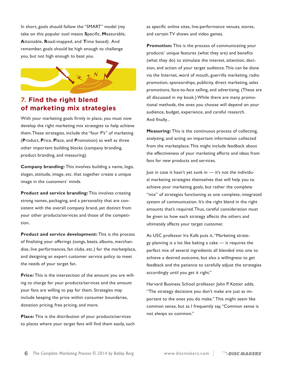In short, goals should follow the "SMART" model (my take on this popular tool means **S**pecific, **M**easurable, **A**ttainable, **R**oad-mapped, and **T**ime based). And remember, goals should be high enough to challenge you, but not high enough to beat you.

 $\geq$   $7^{\frac{N}{2}}$ 

## **7. Find the right blend of marketing mix strategies**

With your marketing goals firmly in place, you must now develop the right marketing mix strategies to help achieve them. These strategies, include the "four P's" of marketing (**P**roduct, **P**rice, **P**lace, and **P**romotion) as well as three other important building blocks (company branding, product branding, and measuring).

**Company branding:** This involves building a name, logo, slogan, attitude, image, etc. that together create a unique image in the customers' minds.

**Product and service branding:** This involves creating strong names, packaging, and a personality that are consistent with the overall company brand, yet distinct from your other products/services and those of the competition.

**Product and service development:** This is the process of finalizing your offerings (songs, beats, albums, merchandise, live performances, fan clubs, etc.) for the marketplace, and designing an expert customer service policy to meet the needs of your target fan.

**Price:** This is the intersection of the amount you are willing to charge for your products/services and the amount your fans are willing to pay for them. Strategies may include keeping the price within consumer boundaries, donation pricing, free pricing, and more.

**Place:** This is the distribution of your products/services to places where your target fans will find them easily, such as specific online sites, live-performance venues, stores, and certain TV shows and video games.

**Promotion:** This is the process of communicating your products' unique features (what they are) and benefits (what they do) to stimulate the interest, attention, decision, and action of your target audience. This can be done via the Internet, word of mouth, guerrilla marketing, radio promotion, sponsorships, publicity, direct marketing, sales promotions, face-to-face selling, and advertising. (These are all discussed in my book.) While there are many promotional methods, the ones you choose will depend on your audience, budget, experience, and careful research. And finally...

**Measuring:** This is the continuous process of collecting, analyzing, and acting on important information collected from the marketplace. This might include feedback about the effectiveness of your marketing efforts and ideas from fans for new products and services.

Just in case it hasn't yet sunk in — it's not the individual marketing strategies themselves that will help you to achieve your marketing goals, but rather the complete "mix" of strategies functioning as one complete, integrated system of communication. It's the right blend in the right amounts that's required. Thus, careful consideration must be given to how each strategy affects the others and ultimately affects your target customer.

As USC professor Ira Kalb puts it, "Marketing strategy planning is a lot like baking a cake — it requires the perfect mix of several ingredients all blended into one to achieve a desired outcome, but also a willingness to get feedback and the patience to carefully adjust the strategies accordingly until you get it right."

Harvard Business School professor John P. Kotter adds, "The strategy decisions you don't make are just as important to the ones you do make." This might seem like common sense, but as I frequently say, "Common sense is not always so common."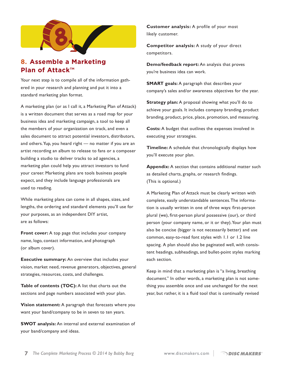

#### **8. Assemble a Marketing Plan of Attack™**

Your next step is to compile all of the information gathered in your research and planning and put it into a standard marketing plan format.

A marketing plan (or as I call it, a Marketing Plan of Attack) is a written document that serves as a road map for your business idea and marketing campaign, a tool to keep all the members of your organization on track, and even a sales document to attract potential investors, distributors, and others. Yup, you heard right — no matter if you are an artist recording an album to release to fans or a composer building a studio to deliver tracks to ad agencies, a marketing plan could help you attract investors to fund your career. Marketing plans are tools business people expect, and they include language professionals are used to reading.

While marketing plans can come in all shapes, sizes, and lengths, the ordering and standard elements you'll use for your purposes, as an independent DIY artist, are as follows:

**Front cover:** A top page that includes your company name, logo, contact information, and photograph (or album cover).

**Executive summary:** An overview that includes your vision, market need, revenue generators, objectives, general strategies, resources, costs, and challenges.

**Table of contents (TOC):** A list that charts out the sections and page numbers associated with your plan.

**Vision statement:** A paragraph that forecasts where you want your band/company to be in seven to ten years.

**SWOT analysis:** An internal and external examination of your band/company and ideas.

**Customer analysis:** A profile of your most likely customer.

**Competitor analysis:** A study of your direct competitors.

**Demo/feedback report:** An analysis that proves you're business idea can work.

**SMART** goals: A paragraph that describes your company's sales and/or awareness objectives for the year.

**Strategy plan:** A proposal showing what you'll do to achieve your goals. It includes company branding, product branding, product, price, place, promotion, and measuring.

**Costs:** A budget that outlines the expenses involved in executing your strategies.

**Timeline:** A schedule that chronologically displays how you'll execute your plan.

**Appendix:** A section that contains additional matter such as detailed charts, graphs, or research findings. (This is optional.)

A Marketing Plan of Attack must be clearly written with complete, easily understandable sentences. The information is usually written in one of three ways: first-person plural (we), first-person plural possessive (our), or third person (your company name, or it or they). Your plan must also be concise (bigger is not necessarily better) and use common, easy-to-read font styles with 1.1 or 1.2 line spacing. A plan should also be paginated well, with consistent headings, subheadings, and bullet-point styles marking each section.

Keep in mind that a marketing plan is "a living, breathing document." In other words, a marketing plan is not something you assemble once and use unchanged for the next year, but rather, it is a fluid tool that is continually revised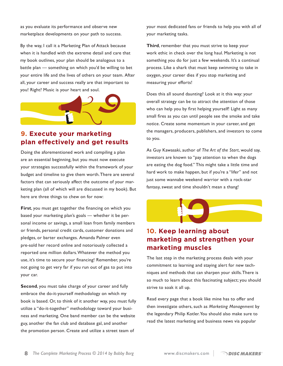as you evaluate its performance and observe new marketplace developments on your path to success.

By the way, I call it a Marketing Plan of Attack because when it is handled with the extreme detail and care that my book outlines, your plan should be analogous to a battle plan — something on which you'd be willing to bet your entire life and the lives of others on your team. After all, your career and success really are that important to you! Right? Music is your heart and soul.



### **9. Execute your marketing plan effectively and get results**

Doing the aforementioned work and compiling a plan are an essential beginning, but you must now execute your strategies successfully within the framework of your budget and timeline to give them worth. There are several factors that can seriously affect the outcome of your marketing plan (all of which will are discussed in my book). But here are three things to chew on for now:

**First**, you must get together the financing on which you based your marketing plan's goals — whether it be personal income or savings, a small loan from family members or friends, personal credit cards, customer donations and pledges, or barter exchanges. Amanda Palmer even pre-sold her record online and notoriously collected a reported one million dollars. Whatever the method you use, it's time to secure your financing! Remember, you're not going to get very far if you run out of gas to put into your car.

**Second**, you must take charge of your career and fully embrace the do-it-yourself methodology on which my book is based. Or, to think of it another way, you must fully utilize a "do-it-together" methodology toward your business and marketing. One band member can be the website guy, another the fan club and database gal, and another the promotion person. Create and utilize a street team of

your most dedicated fans or friends to help you with all of your marketing tasks.

**Third**, remember that you must strive to keep your work ethic in check over the long haul. Marketing is not something you do for just a few weekends. It's a continual process. Like a shark that must keep swimming to take in oxygen, your career dies if you stop marketing and measuring your efforts!

Does this all sound daunting? Look at it this way: your overall strategy can be to attract the attention of those who can help you by first helping yourself! Light as many small fires as you can until people see the smoke and take notice. Create some momentum in your career, and get the managers, producers, publishers, and investors to come to you.

As Guy Kawasaki, author of *The Art of the Start*, would say, investors are known to "pay attention to when the dogs are eating the dog food." This might take a little time and hard work to make happen, but if you're a "lifer" and not just some wannabe weekend warrior with a rock-star fantasy, sweat and time shouldn't mean a thang!



## **10. Keep learning about marketing and strengthen your marketing muscles**

The last step in the marketing process deals with your commitment to learning and staying alert for new techniques and methods that can sharpen your skills. There is so much to learn about this fascinating subject; you should strive to soak it all up.

Read every page that a book like mine has to offer and then investigate others, such as *Marketing Management* by the legendary Philip Kotler. You should also make sure to read the latest marketing and business news via popular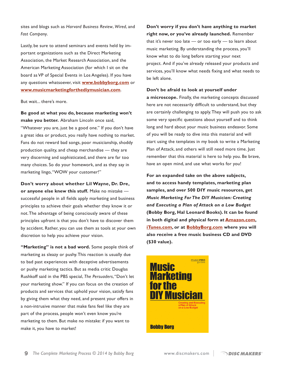sites and blogs such as *Harvard Business Review*, *Wired*, and *Fast Company*.

Lastly, be sure to attend seminars and events held by important organizations such as the Direct Marketing Association, the Market Research Association, and the American Marketing Association (for which I sit on the board as VP of Special Events in Los Angeles). If you have any questions whatsoever, visit **[www.bobbyborg.com](http://www.bobbyborg.com)** or **[www.musicmarketingforthediymusician.com](http://www.bobbyborg.com)**.

But wait... there's more.

**Be good at what you do, because marketing won't make you better.** Abraham Lincoln once said, "Whatever you are, just be a good one." If you don't have a great idea or product, you really have nothing to market. Fans do not reward bad songs, poor musicianship, shoddy production quality, and cheap merchandise — they are very discerning and sophisticated, and there are far too many choices. So do your homework, and as they say in marketing lingo, "WOW your customer!"

**Don't worry about whether Lil Wayne, Dr. Dre, or anyone else knew this stuff.** Make no mistake successful people in all fields apply marketing and business principles to achieve their goals whether they know it or not. The advantage of being consciously aware of these principles upfront is that you don't have to discover them by accident. Rather, you can use them as tools at your own discretion to help you achieve your vision.

**"Marketing" is not a bad word.** Some people think of marketing as sleazy or pushy. This reaction is usually due to bad past experiences with deceptive advertisements or pushy marketing tactics. But as media critic Douglas Rushkoff said in the PBS special, *The Persuaders*, "Don't let your marketing show." If you can focus on the creation of products and services that uphold your vision, satisfy fans by giving them what they need, and present your offers in a non-intrusive manner that make fans feel like they are part of the process, people won't even know you're marketing to them. But make no mistake: if you want to make it, you have to market!

**Don't worry if you don't have anything to market right now, or you've already launched.** Remember that it's never too late — or too early — to learn about music marketing. By understanding the process, you'll know what to do long before starting your next project. And if you've already released your products and services, you'll know what needs fixing and what needs to be left alone.

#### **Don't be afraid to look at yourself under**

**a microscope.** Finally, the marketing concepts discussed here are not necessarily difficult to understand, but they are certainly challenging to apply. They will push you to ask some very specific questions about yourself and to think long and hard about your music business endeavor. Some of you will be ready to dive into this material and will start using the templates in my book to write a Marketing Plan of Attack, and others will still need more time. Just remember that this material is here to help you. Be brave, have an open mind, and use what works for you!

**For an expanded take on the above subjects, and to access handy templates, marketing plan samples, and over 500 DIY music resources, get**  *Music Marketing For The DIY Musician: Creating and Executing a Plan of Attack on a Low Budget* **(Bobby Borg, Hal Leonard Books). It can be found in both digital and physical form at [Amazon.com](http://www.amazon.com/Music-Marketing-DIY-Musician-Executing/dp/1480369527/ref=sr_1_1?s=books&ie=UTF8&qid=1432002948&sr=1-1&keywords=Music+Marketing+For+The+DIY+Musician), [iTunes.com](https://itunes.apple.com/us/book/music-marketing-for-diy-musician/id920817600?mt=11), or at [BobbyBorg.com](http://www.bobbyborg.com) where you will also receive a free music business CD and DVD (\$30 value).**